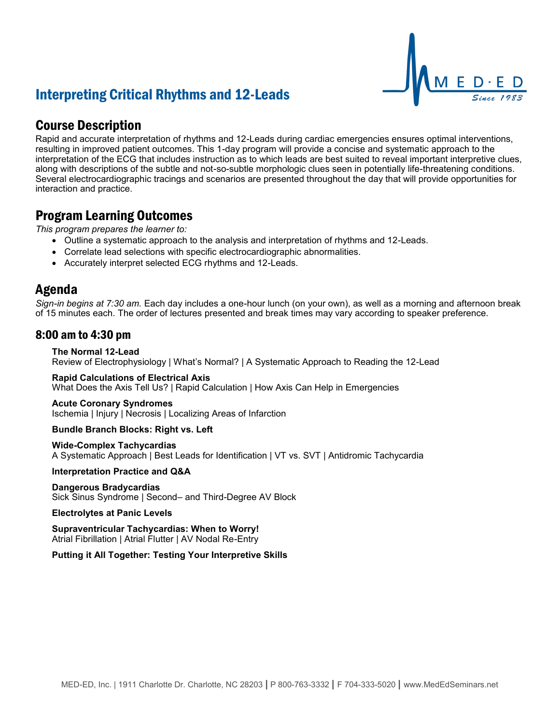# Interpreting Critical Rhythms and 12-Leads



## Course Description

Rapid and accurate interpretation of rhythms and 12-Leads during cardiac emergencies ensures optimal interventions, resulting in improved patient outcomes. This 1-day program will provide a concise and systematic approach to the interpretation of the ECG that includes instruction as to which leads are best suited to reveal important interpretive clues, along with descriptions of the subtle and not-so-subtle morphologic clues seen in potentially life-threatening conditions. Several electrocardiographic tracings and scenarios are presented throughout the day that will provide opportunities for interaction and practice.

### Program Learning Outcomes

*This program prepares the learner to:*

- Outline a systematic approach to the analysis and interpretation of rhythms and 12-Leads.
- Correlate lead selections with specific electrocardiographic abnormalities.
- Accurately interpret selected ECG rhythms and 12-Leads.

### Agenda

*Sign-in begins at 7:30 am.* Each day includes a one-hour lunch (on your own), as well as a morning and afternoon break of 15 minutes each. The order of lectures presented and break times may vary according to speaker preference.

### 8:00 am to 4:30 pm

#### **The Normal 12-Lead**

Review of Electrophysiology | What's Normal? | A Systematic Approach to Reading the 12-Lead

**Rapid Calculations of Electrical Axis**  What Does the Axis Tell Us? | Rapid Calculation | How Axis Can Help in Emergencies

**Acute Coronary Syndromes**  Ischemia | Injury | Necrosis | Localizing Areas of Infarction

**Bundle Branch Blocks: Right vs. Left**

**Wide-Complex Tachycardias** A Systematic Approach | Best Leads for Identification | VT vs. SVT | Antidromic Tachycardia

#### **Interpretation Practice and Q&A**

#### **Dangerous Bradycardias**

Sick Sinus Syndrome | Second– and Third-Degree AV Block

#### **Electrolytes at Panic Levels**

**Supraventricular Tachycardias: When to Worry!** Atrial Fibrillation | Atrial Flutter | AV Nodal Re-Entry

#### **Putting it All Together: Testing Your Interpretive Skills**